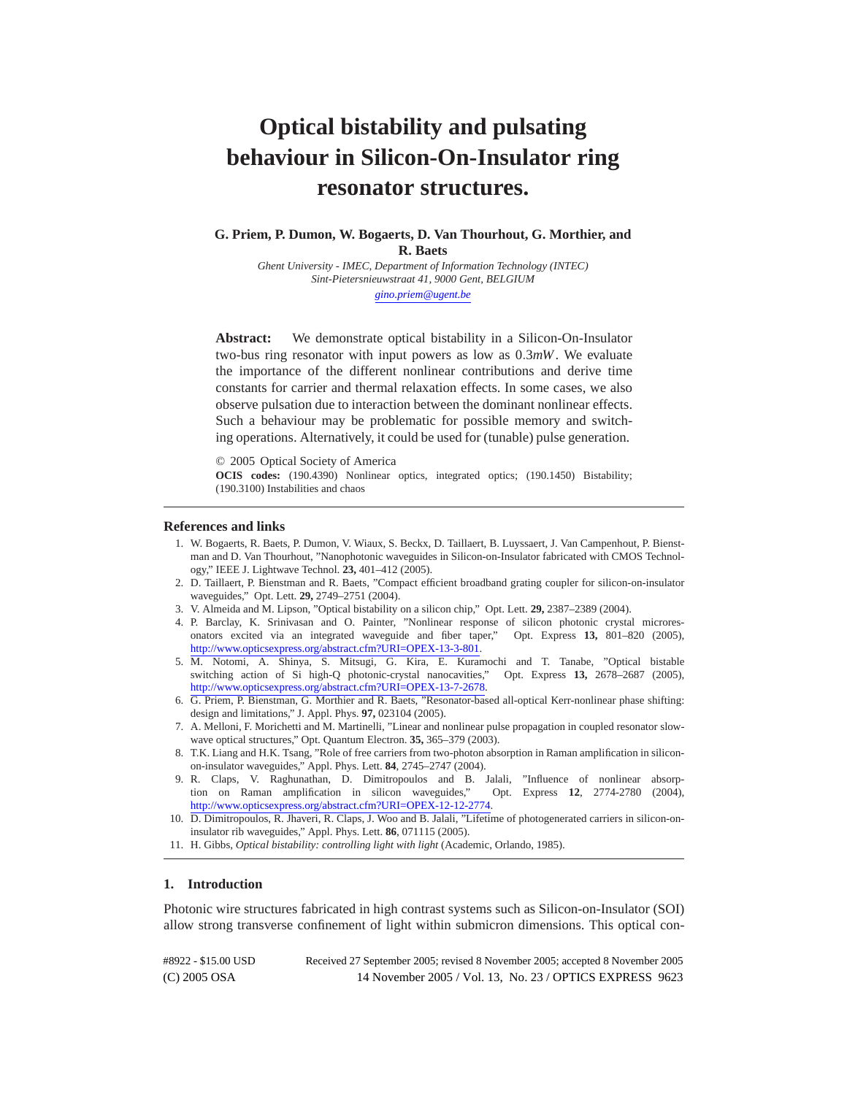# **Optical bistability and pulsating behaviour in Silicon-On-Insulator ring resonator structures.**

**G. Priem, P. Dumon, W. Bogaerts, D. Van Thourhout, G. Morthier, and R. Baets**

*Ghent University - IMEC, Department of Information Technology (INTEC) Sint-Pietersnieuwstraat 41, 9000 Gent, BELGIUM [gino.priem@ugent.be](mailto:gino.priem@ugent.be)*

**Abstract:** We demonstrate optical bistability in a Silicon-On-Insulator two-bus ring resonator with input powers as low as 0*.*3*mW*. We evaluate the importance of the different nonlinear contributions and derive time constants for carrier and thermal relaxation effects. In some cases, we also observe pulsation due to interaction between the dominant nonlinear effects. Such a behaviour may be problematic for possible memory and switching operations. Alternatively, it could be used for (tunable) pulse generation.

© 2005 Optical Society of America

**OCIS codes:** (190.4390) Nonlinear optics, integrated optics; (190.1450) Bistability; (190.3100) Instabilities and chaos

## **References and links**

- 1. W. Bogaerts, R. Baets, P. Dumon, V. Wiaux, S. Beckx, D. Taillaert, B. Luyssaert, J. Van Campenhout, P. Bienstman and D. Van Thourhout, "Nanophotonic waveguides in Silicon-on-Insulator fabricated with CMOS Technology," IEEE J. Lightwave Technol. **23,** 401–412 (2005).
- 2. D. Taillaert, P. Bienstman and R. Baets, "Compact efficient broadband grating coupler for silicon-on-insulator waveguides," Opt. Lett. **29,** 2749–2751 (2004).
- 3. V. Almeida and M. Lipson, "Optical bistability on a silicon chip," Opt. Lett. **29,** 2387–2389 (2004).
- 4. P. Barclay, K. Srinivasan and O. Painter, "Nonlinear response of silicon photonic crystal microresonators excited via an integrated waveguide and fiber taper," Opt. Express **13,** 801–820 (2005), [http://www.opticsexpress.org/abstract.cfm?URI=OPEX-13-3-801.](http://www.opticsexpress.org/abstract.cfm?URI=OPEX-13-3-801)
- 5. M. Notomi, A. Shinya, S. Mitsugi, G. Kira, E. Kuramochi and T. Tanabe, "Optical bistable switching action of Si high-Q photonic-crystal nanocavities," Opt. Express **13,** 2678–2687 (2005), [http://www.opticsexpress.org/abstract.cfm?URI=OPEX-13-7-2678.](http://www.opticsexpress.org/abstract.cfm?URI=OPEX-13-7-2678)
- 6. G. Priem, P. Bienstman, G. Morthier and R. Baets, "Resonator-based all-optical Kerr-nonlinear phase shifting: design and limitations," J. Appl. Phys. **97,** 023104 (2005).
- 7. A. Melloni, F. Morichetti and M. Martinelli, "Linear and nonlinear pulse propagation in coupled resonator slowwave optical structures," Opt. Quantum Electron. **35,** 365–379 (2003).
- 8. T.K. Liang and H.K. Tsang, "Role of free carriers from two-photon absorption in Raman amplification in siliconon-insulator waveguides," Appl. Phys. Lett. **84**, 2745–2747 (2004).
- 9. R. Claps, V. Raghunathan, D. Dimitropoulos and B. Jalali, "Influence of nonlinear absorption on Raman amplification in silicon waveguides," Opt. Express **12**, 2774-2780 (2004), [http://www.opticsexpress.org/abstract.cfm?URI=OPEX-12-12-2774.](http://www.opticsexpress.org/abstract.cfm?URI=OPEX-12-12-2774)
- 10. D. Dimitropoulos, R. Jhaveri, R. Claps, J. Woo and B. Jalali, "Lifetime of photogenerated carriers in silicon-oninsulator rib waveguides," Appl. Phys. Lett. **86**, 071115 (2005).
- 11. H. Gibbs, *Optical bistability: controlling light with light* (Academic, Orlando, 1985).

# **1. Introduction**

Photonic wire structures fabricated in high contrast systems such as Silicon-on-Insulator (SOI) allow strong transverse confinement of light within submicron dimensions. This optical con-

(C) 2005 OSA 14 November 2005 / Vol. 13, No. 23 / OPTICS EXPRESS 9623 #8922 - \$15.00 USD Received 27 September 2005; revised 8 November 2005; accepted 8 November 2005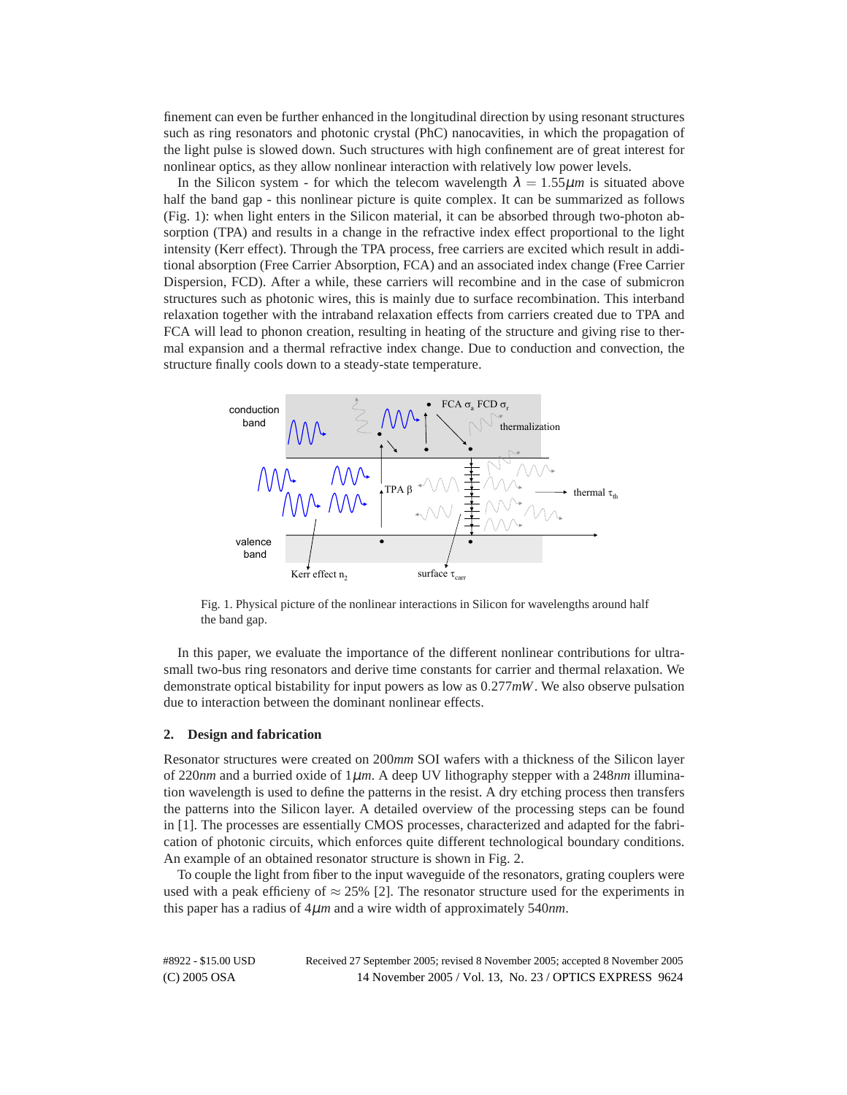finement can even be further enhanced in the longitudinal direction by using resonant structures such as ring resonators and photonic crystal (PhC) nanocavities, in which the propagation of the light pulse is slowed down. Such structures with high confinement are of great interest for nonlinear optics, as they allow nonlinear interaction with relatively low power levels.

In the Silicon system - for which the telecom wavelength  $\lambda = 1.55 \mu m$  is situated above half the band gap - this nonlinear picture is quite complex. It can be summarized as follows (Fig. 1): when light enters in the Silicon material, it can be absorbed through two-photon absorption (TPA) and results in a change in the refractive index effect proportional to the light intensity (Kerr effect). Through the TPA process, free carriers are excited which result in additional absorption (Free Carrier Absorption, FCA) and an associated index change (Free Carrier Dispersion, FCD). After a while, these carriers will recombine and in the case of submicron structures such as photonic wires, this is mainly due to surface recombination. This interband relaxation together with the intraband relaxation effects from carriers created due to TPA and FCA will lead to phonon creation, resulting in heating of the structure and giving rise to thermal expansion and a thermal refractive index change. Due to conduction and convection, the structure finally cools down to a steady-state temperature.



Fig. 1. Physical picture of the nonlinear interactions in Silicon for wavelengths around half the band gap.

In this paper, we evaluate the importance of the different nonlinear contributions for ultrasmall two-bus ring resonators and derive time constants for carrier and thermal relaxation. We demonstrate optical bistability for input powers as low as 0*.*277*mW*. We also observe pulsation due to interaction between the dominant nonlinear effects.

#### **2. Design and fabrication**

Resonator structures were created on 200*mm* SOI wafers with a thickness of the Silicon layer of 220*nm* and a burried oxide of 1µ*m*. A deep UV lithography stepper with a 248*nm* illumination wavelength is used to define the patterns in the resist. A dry etching process then transfers the patterns into the Silicon layer. A detailed overview of the processing steps can be found in [1]. The processes are essentially CMOS processes, characterized and adapted for the fabrication of photonic circuits, which enforces quite different technological boundary conditions. An example of an obtained resonator structure is shown in Fig. 2.

To couple the light from fiber to the input waveguide of the resonators, grating couplers were used with a peak efficieny of  $\approx 25\%$  [2]. The resonator structure used for the experiments in this paper has a radius of 4µ*m* and a wire width of approximately 540*nm*.

(C) 2005 OSA 14 November 2005 / Vol. 13, No. 23 / OPTICS EXPRESS 9624 #8922 - \$15.00 USD Received 27 September 2005; revised 8 November 2005; accepted 8 November 2005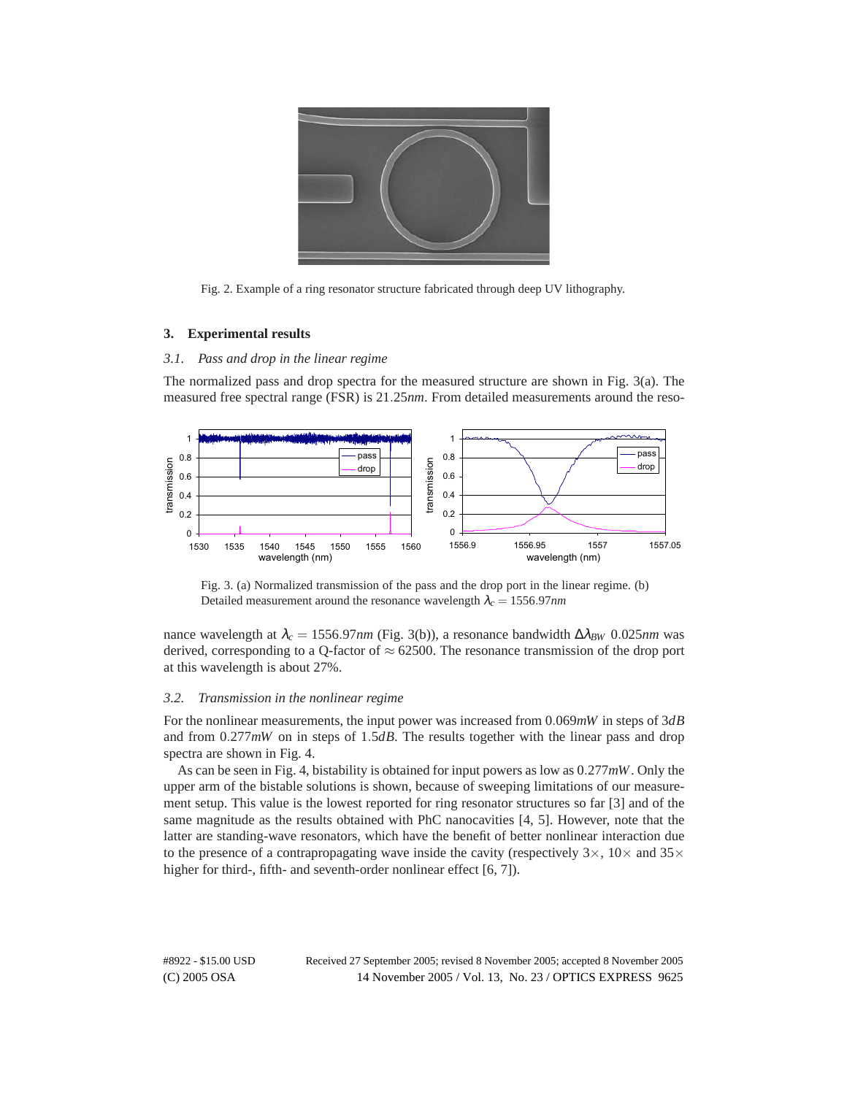

Fig. 2. Example of a ring resonator structure fabricated through deep UV lithography.

## **3. Experimental results**

# *3.1. Pass and drop in the linear regime*

The normalized pass and drop spectra for the measured structure are shown in Fig. 3(a). The measured free spectral range (FSR) is 21*.*25*nm*. From detailed measurements around the reso-



Fig. 3. (a) Normalized transmission of the pass and the drop port in the linear regime. (b) Detailed measurement around the resonance wavelength  $\lambda_c = 1556.97$ *nm* 

nance wavelength at <sup>λ</sup>*<sup>c</sup>* = 1556*.*97*nm* (Fig. 3(b)), a resonance bandwidth ∆λ*BW* 0*.*025*nm* was derived, corresponding to a Q-factor of  $\approx 62500$ . The resonance transmission of the drop port at this wavelength is about 27%.

#### *3.2. Transmission in the nonlinear regime*

For the nonlinear measurements, the input power was increased from 0*.*069*mW* in steps of 3*dB* and from 0*.*277*mW* on in steps of 1*.*5*dB*. The results together with the linear pass and drop spectra are shown in Fig. 4.

As can be seen in Fig. 4, bistability is obtained for input powers as low as 0*.*277*mW*. Only the upper arm of the bistable solutions is shown, because of sweeping limitations of our measurement setup. This value is the lowest reported for ring resonator structures so far [3] and of the same magnitude as the results obtained with PhC nanocavities [4, 5]. However, note that the latter are standing-wave resonators, which have the benefit of better nonlinear interaction due to the presence of a contrapropagating wave inside the cavity (respectively  $3\times$ ,  $10\times$  and  $35\times$ higher for third-, fifth- and seventh-order nonlinear effect [6, 7]).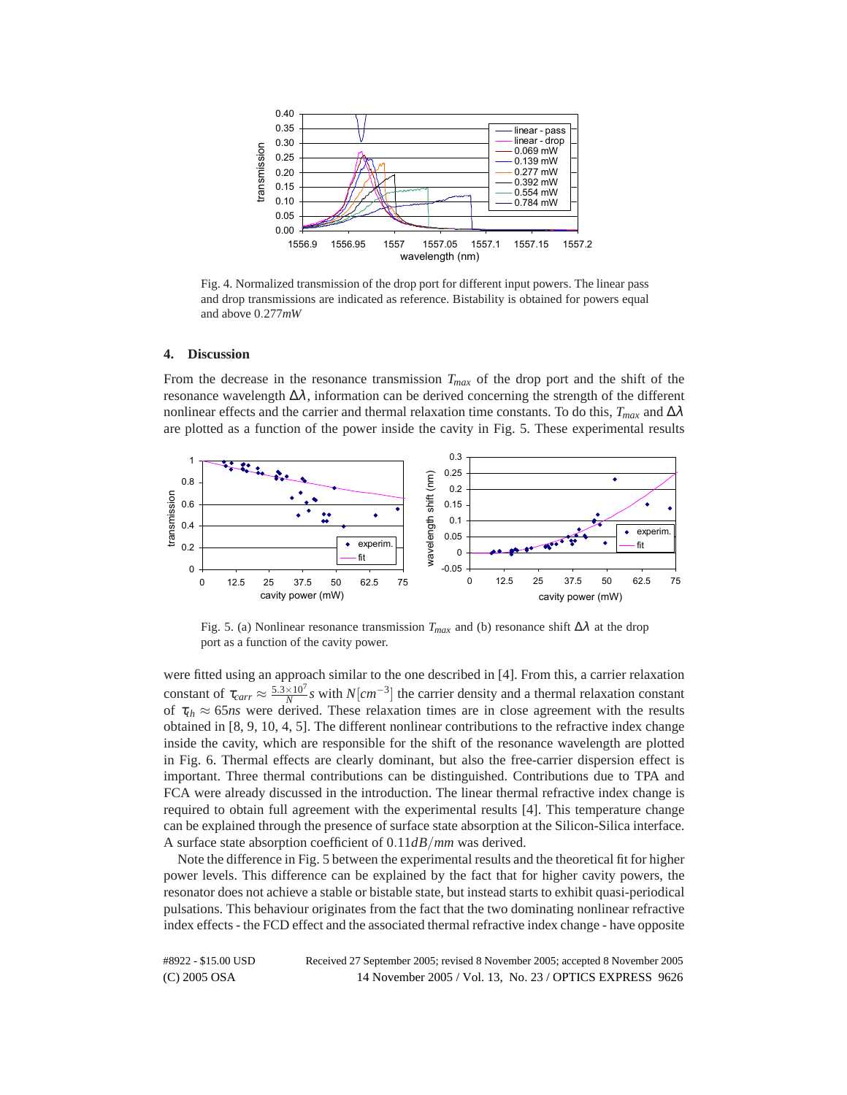

Fig. 4. Normalized transmission of the drop port for different input powers. The linear pass and drop transmissions are indicated as reference. Bistability is obtained for powers equal and above 0*.*277*mW*

## **4. Discussion**

From the decrease in the resonance transmission  $T_{max}$  of the drop port and the shift of the resonance wavelength ∆λ, information can be derived concerning the strength of the different nonlinear effects and the carrier and thermal relaxation time constants. To do this,  $T_{max}$  and  $\Delta \lambda$ are plotted as a function of the power inside the cavity in Fig. 5. These experimental results



Fig. 5. (a) Nonlinear resonance transmission  $T_{max}$  and (b) resonance shift  $\Delta \lambda$  at the drop port as a function of the cavity power.

were fitted using an approach similar to the one described in [4]. From this, a carrier relaxation constant of  $\tau_{carr} \approx \frac{5.3 \times 10^7}{N} s$  with  $N[cm^{-3}]$  the carrier density and a thermal relaxation constant of  $\tau_{th} \approx 65$ *ns* were derived. These relaxation times are in close agreement with the results obtained in [8, 9, 10, 4, 5]. The different nonlinear contributions to the refractive index change inside the cavity, which are responsible for the shift of the resonance wavelength are plotted in Fig. 6. Thermal effects are clearly dominant, but also the free-carrier dispersion effect is important. Three thermal contributions can be distinguished. Contributions due to TPA and FCA were already discussed in the introduction. The linear thermal refractive index change is required to obtain full agreement with the experimental results [4]. This temperature change can be explained through the presence of surface state absorption at the Silicon-Silica interface. A surface state absorption coefficient of 0*.*11*dB/mm* was derived.

Note the difference in Fig. 5 between the experimental results and the theoretical fit for higher power levels. This difference can be explained by the fact that for higher cavity powers, the resonator does not achieve a stable or bistable state, but instead starts to exhibit quasi-periodical pulsations. This behaviour originates from the fact that the two dominating nonlinear refractive index effects - the FCD effect and the associated thermal refractive index change - have opposite

(C) 2005 OSA 14 November 2005 / Vol. 13, No. 23 / OPTICS EXPRESS 9626 #8922 - \$15.00 USD Received 27 September 2005; revised 8 November 2005; accepted 8 November 2005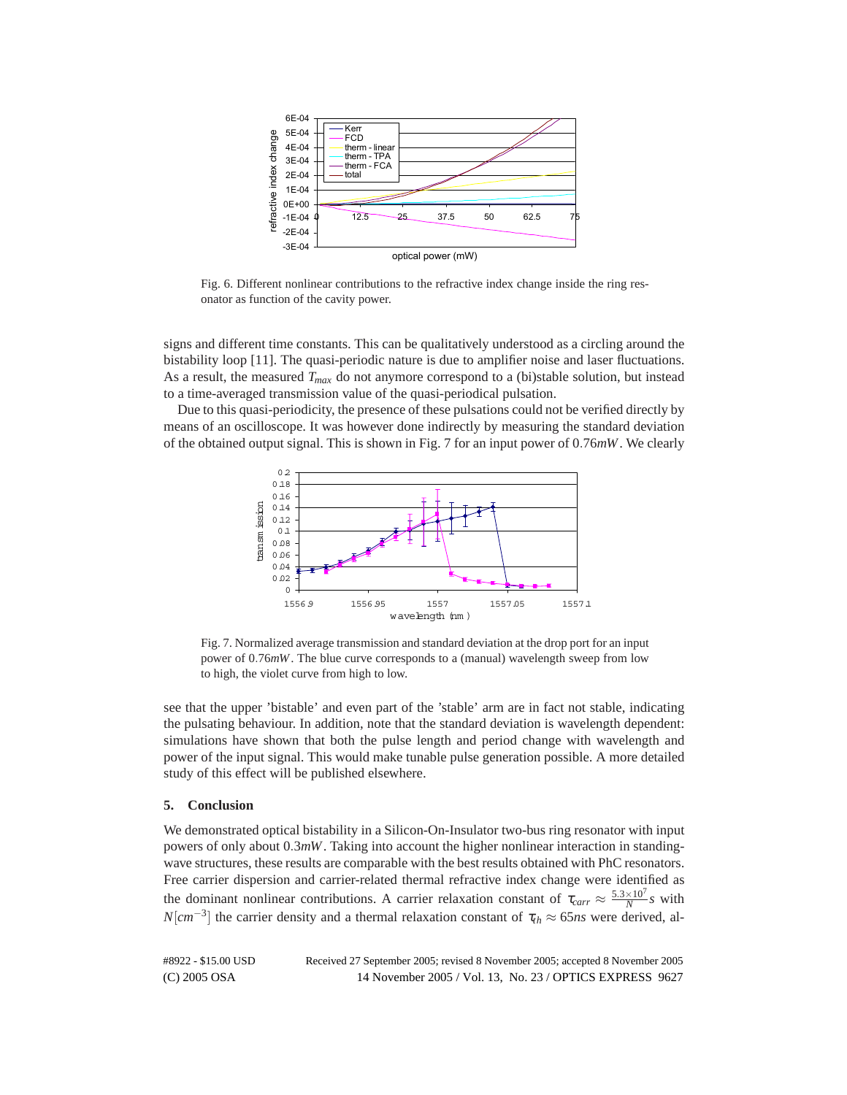

Fig. 6. Different nonlinear contributions to the refractive index change inside the ring resonator as function of the cavity power.

signs and different time constants. This can be qualitatively understood as a circling around the bistability loop [11]. The quasi-periodic nature is due to amplifier noise and laser fluctuations. As a result, the measured  $T_{max}$  do not anymore correspond to a (bi)stable solution, but instead to a time-averaged transmission value of the quasi-periodical pulsation.

Due to this quasi-periodicity, the presence of these pulsations could not be verified directly by means of an oscilloscope. It was however done indirectly by measuring the standard deviation of the obtained output signal. This is shown in Fig. 7 for an input power of 0*.*76*mW*. We clearly



Fig. 7. Normalized average transmission and standard deviation at the drop port for an input power of 0*.*76*mW*. The blue curve corresponds to a (manual) wavelength sweep from low to high, the violet curve from high to low.

see that the upper 'bistable' and even part of the 'stable' arm are in fact not stable, indicating the pulsating behaviour. In addition, note that the standard deviation is wavelength dependent: simulations have shown that both the pulse length and period change with wavelength and power of the input signal. This would make tunable pulse generation possible. A more detailed study of this effect will be published elsewhere.

## **5. Conclusion**

We demonstrated optical bistability in a Silicon-On-Insulator two-bus ring resonator with input powers of only about 0*.*3*mW*. Taking into account the higher nonlinear interaction in standingwave structures, these results are comparable with the best results obtained with PhC resonators. Free carrier dispersion and carrier-related thermal refractive index change were identified as the dominant nonlinear contributions. A carrier relaxation constant of  $\tau_{carr} \approx \frac{5.3 \times 10^7}{N} s$  with *N*[ $cm^{-3}$ ] the carrier density and a thermal relaxation constant of  $\tau_{th} \approx 65ns$  were derived, al-

(C) 2005 OSA 14 November 2005 / Vol. 13, No. 23 / OPTICS EXPRESS 9627 #8922 - \$15.00 USD Received 27 September 2005; revised 8 November 2005; accepted 8 November 2005